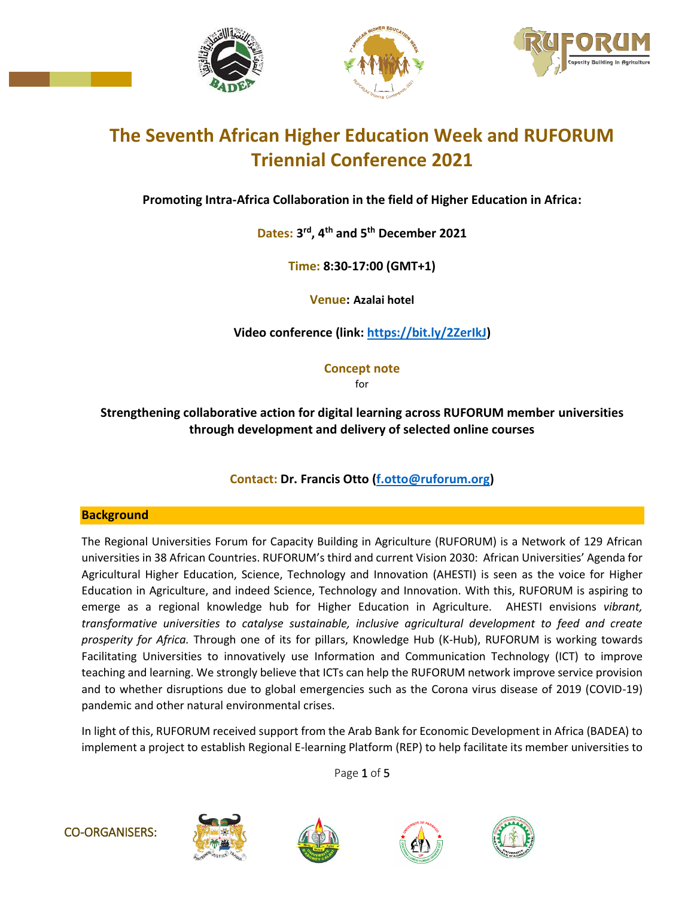





# **The Seventh African Higher Education Week and RUFORUM Triennial Conference 2021**

**Promoting Intra-Africa Collaboration in the field of Higher Education in Africa:**

**Dates: 3 rd, 4th and 5 th December 2021**

**Time: 8:30-17:00 (GMT+1)**

**Venue: Azalai hotel**

**Video conference (link: [https://bit.ly/2ZerIkJ\)](https://bit.ly/2ZerIkJ)**

**Concept note** for

# **Strengthening collaborative action for digital learning across RUFORUM member universities through development and delivery of selected online courses**

## **Contact: Dr. Francis Otto [\(f.otto@ruforum.org\)](mailto:f.otto@ruforum.org)**

## **Background**

The Regional Universities Forum for Capacity Building in Agriculture (RUFORUM) is a Network of 129 African universities in 38 African Countries. RUFORUM's third and current Vision 2030: African Universities' Agenda for Agricultural Higher Education, Science, Technology and Innovation (AHESTI) is seen as the voice for Higher Education in Agriculture, and indeed Science, Technology and Innovation. With this, RUFORUM is aspiring to emerge as a regional knowledge hub for Higher Education in Agriculture. AHESTI envisions *vibrant, transformative universities to catalyse sustainable, inclusive agricultural development to feed and create prosperity for Africa.* Through one of its for pillars, Knowledge Hub (K-Hub), RUFORUM is working towards Facilitating Universities to innovatively use Information and Communication Technology (ICT) to improve teaching and learning. We strongly believe that ICTs can help the RUFORUM network improve service provision and to whether disruptions due to global emergencies such as the Corona virus disease of 2019 (COVID-19) pandemic and other natural environmental crises.

In light of this, RUFORUM received support from the Arab Bank for Economic Development in Africa (BADEA) to implement a project to establish Regional E-learning Platform (REP) to help facilitate its member universities to

Page 1 of 5









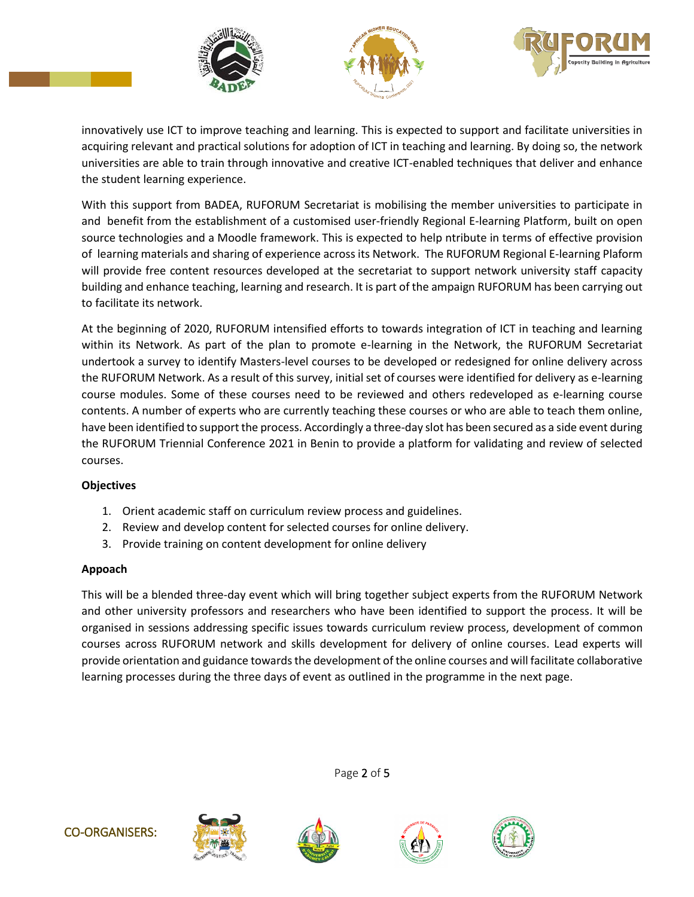





innovatively use ICT to improve teaching and learning. This is expected to support and facilitate universities in acquiring relevant and practical solutions for adoption of ICT in teaching and learning. By doing so, the network universities are able to train through innovative and creative ICT-enabled techniques that deliver and enhance the student learning experience.

With this support from BADEA, RUFORUM Secretariat is mobilising the member universities to participate in and benefit from the establishment of a customised user-friendly Regional E-learning Platform, built on open source technologies and a Moodle framework. This is expected to help ntribute in terms of effective provision of learning materials and sharing of experience across its Network. The RUFORUM Regional E-learning Plaform will provide free content resources developed at the secretariat to support network university staff capacity building and enhance teaching, learning and research. It is part of the ampaign RUFORUM has been carrying out to facilitate its network.

At the beginning of 2020, RUFORUM intensified efforts to towards integration of ICT in teaching and learning within its Network. As part of the plan to promote e-learning in the Network, the RUFORUM Secretariat undertook a survey to identify Masters-level courses to be developed or redesigned for online delivery across the RUFORUM Network. As a result of this survey, initial set of courses were identified for delivery as e-learning course modules. Some of these courses need to be reviewed and others redeveloped as e-learning course contents. A number of experts who are currently teaching these courses or who are able to teach them online, have been identified to support the process. Accordingly a three-day slot has been secured as a side event during the RUFORUM Triennial Conference 2021 in Benin to provide a platform for validating and review of selected courses.

## **Objectives**

- 1. Orient academic staff on curriculum review process and guidelines.
- 2. Review and develop content for selected courses for online delivery.
- 3. Provide training on content development for online delivery

## **Appoach**

This will be a blended three-day event which will bring together subject experts from the RUFORUM Network and other university professors and researchers who have been identified to support the process. It will be organised in sessions addressing specific issues towards curriculum review process, development of common courses across RUFORUM network and skills development for delivery of online courses. Lead experts will provide orientation and guidance towards the development of the online courses and will facilitate collaborative learning processes during the three days of event as outlined in the programme in the next page.

Page 2 of 5









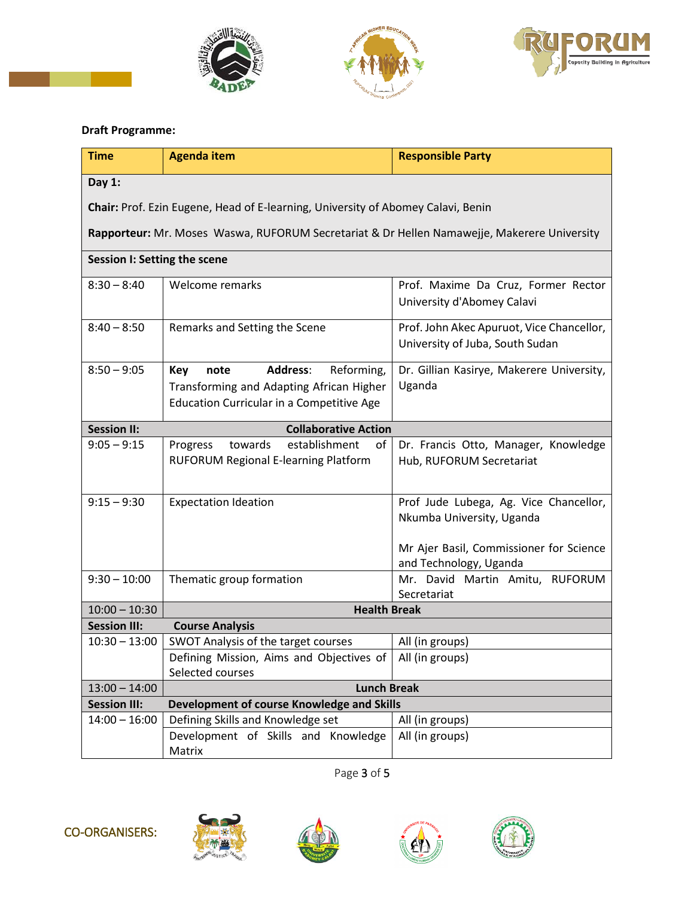





#### **Draft Programme:**

| <b>Time</b>                                                                                 | <b>Agenda item</b>                                                                                                                                  | <b>Responsible Party</b>                                                                                       |  |  |
|---------------------------------------------------------------------------------------------|-----------------------------------------------------------------------------------------------------------------------------------------------------|----------------------------------------------------------------------------------------------------------------|--|--|
| Day 1:                                                                                      |                                                                                                                                                     |                                                                                                                |  |  |
| Chair: Prof. Ezin Eugene, Head of E-learning, University of Abomey Calavi, Benin            |                                                                                                                                                     |                                                                                                                |  |  |
| Rapporteur: Mr. Moses Waswa, RUFORUM Secretariat & Dr Hellen Namawejje, Makerere University |                                                                                                                                                     |                                                                                                                |  |  |
| Session I: Setting the scene                                                                |                                                                                                                                                     |                                                                                                                |  |  |
| $8:30 - 8:40$                                                                               | Welcome remarks                                                                                                                                     | Prof. Maxime Da Cruz, Former Rector<br>University d'Abomey Calavi                                              |  |  |
| $8:40 - 8:50$                                                                               | Remarks and Setting the Scene                                                                                                                       | Prof. John Akec Apuruot, Vice Chancellor,<br>University of Juba, South Sudan                                   |  |  |
| $8:50 - 9:05$                                                                               | Reforming,<br><b>Address:</b><br><b>Key</b><br>note<br>Transforming and Adapting African Higher<br><b>Education Curricular in a Competitive Age</b> | Dr. Gillian Kasirye, Makerere University,<br>Uganda                                                            |  |  |
| <b>Session II:</b><br><b>Collaborative Action</b>                                           |                                                                                                                                                     |                                                                                                                |  |  |
| $9:05 - 9:15$                                                                               | towards<br>establishment<br>Progress<br>of<br>RUFORUM Regional E-learning Platform                                                                  | Dr. Francis Otto, Manager, Knowledge<br>Hub, RUFORUM Secretariat                                               |  |  |
| $9:15 - 9:30$                                                                               | <b>Expectation Ideation</b>                                                                                                                         | Prof Jude Lubega, Ag. Vice Chancellor,<br>Nkumba University, Uganda<br>Mr Ajer Basil, Commissioner for Science |  |  |
|                                                                                             |                                                                                                                                                     | and Technology, Uganda                                                                                         |  |  |
| $9:30 - 10:00$                                                                              | Thematic group formation                                                                                                                            | Mr. David Martin Amitu, RUFORUM<br>Secretariat                                                                 |  |  |
| $10:00 - 10:30$                                                                             | <b>Health Break</b>                                                                                                                                 |                                                                                                                |  |  |
| <b>Session III:</b>                                                                         | <b>Course Analysis</b>                                                                                                                              |                                                                                                                |  |  |
| $10:30 - 13:00$                                                                             | SWOT Analysis of the target courses                                                                                                                 | All (in groups)                                                                                                |  |  |
|                                                                                             | Defining Mission, Aims and Objectives of<br>Selected courses                                                                                        | All (in groups)                                                                                                |  |  |
| $13:00 - 14:00$                                                                             | <b>Lunch Break</b>                                                                                                                                  |                                                                                                                |  |  |
| <b>Session III:</b>                                                                         | Development of course Knowledge and Skills                                                                                                          |                                                                                                                |  |  |
| $14:00 - 16:00$                                                                             | Defining Skills and Knowledge set                                                                                                                   | All (in groups)                                                                                                |  |  |
|                                                                                             | Development of Skills and Knowledge<br>Matrix                                                                                                       | All (in groups)                                                                                                |  |  |

Page 3 of 5









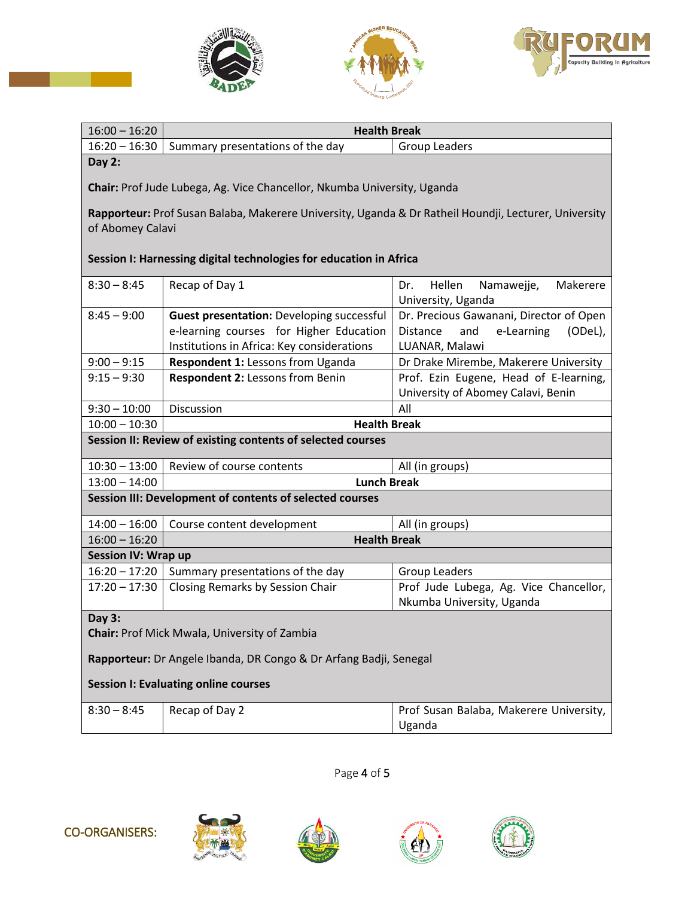





| $16:00 - 16:20$                                                                                                           | <b>Health Break</b>                                                                                                                       |                                                                                                       |  |  |
|---------------------------------------------------------------------------------------------------------------------------|-------------------------------------------------------------------------------------------------------------------------------------------|-------------------------------------------------------------------------------------------------------|--|--|
| $16:20 - 16:30$                                                                                                           | Summary presentations of the day                                                                                                          | Group Leaders                                                                                         |  |  |
| Day 2:<br>Chair: Prof Jude Lubega, Ag. Vice Chancellor, Nkumba University, Uganda                                         |                                                                                                                                           |                                                                                                       |  |  |
| Rapporteur: Prof Susan Balaba, Makerere University, Uganda & Dr Ratheil Houndji, Lecturer, University<br>of Abomey Calavi |                                                                                                                                           |                                                                                                       |  |  |
|                                                                                                                           | Session I: Harnessing digital technologies for education in Africa                                                                        |                                                                                                       |  |  |
| $8:30 - 8:45$                                                                                                             | Recap of Day 1                                                                                                                            | Hellen<br>Makerere<br>Namawejje,<br>Dr.<br>University, Uganda                                         |  |  |
| $8:45 - 9:00$                                                                                                             | <b>Guest presentation: Developing successful</b><br>e-learning courses for Higher Education<br>Institutions in Africa: Key considerations | Dr. Precious Gawanani, Director of Open<br>Distance<br>and<br>e-Learning<br>(ODeL),<br>LUANAR, Malawi |  |  |
| $9:00 - 9:15$                                                                                                             | Respondent 1: Lessons from Uganda                                                                                                         | Dr Drake Mirembe, Makerere University                                                                 |  |  |
| $9:15 - 9:30$                                                                                                             | Respondent 2: Lessons from Benin                                                                                                          | Prof. Ezin Eugene, Head of E-learning,<br>University of Abomey Calavi, Benin                          |  |  |
| $9:30 - 10:00$                                                                                                            | Discussion                                                                                                                                | All                                                                                                   |  |  |
| $10:00 - 10:30$                                                                                                           | <b>Health Break</b>                                                                                                                       |                                                                                                       |  |  |
| Session II: Review of existing contents of selected courses                                                               |                                                                                                                                           |                                                                                                       |  |  |
| $10:30 - 13:00$                                                                                                           | Review of course contents                                                                                                                 | All (in groups)                                                                                       |  |  |
| $13:00 - 14:00$                                                                                                           | <b>Lunch Break</b>                                                                                                                        |                                                                                                       |  |  |
| Session III: Development of contents of selected courses                                                                  |                                                                                                                                           |                                                                                                       |  |  |
| $14:00 - 16:00$                                                                                                           | Course content development                                                                                                                | All (in groups)                                                                                       |  |  |
| $16:00 - 16:20$                                                                                                           | <b>Health Break</b>                                                                                                                       |                                                                                                       |  |  |
| <b>Session IV: Wrap up</b>                                                                                                |                                                                                                                                           |                                                                                                       |  |  |
| $16:20 - 17:20$                                                                                                           | Summary presentations of the day                                                                                                          | <b>Group Leaders</b>                                                                                  |  |  |
| $17:20 - 17:30$                                                                                                           | Closing Remarks by Session Chair                                                                                                          | Prof Jude Lubega, Ag. Vice Chancellor,<br>Nkumba University, Uganda                                   |  |  |
| Day 3:<br>Chair: Prof Mick Mwala, University of Zambia                                                                    |                                                                                                                                           |                                                                                                       |  |  |
| Rapporteur: Dr Angele Ibanda, DR Congo & Dr Arfang Badji, Senegal                                                         |                                                                                                                                           |                                                                                                       |  |  |
| <b>Session I: Evaluating online courses</b>                                                                               |                                                                                                                                           |                                                                                                       |  |  |
| $8:30 - 8:45$                                                                                                             | Recap of Day 2                                                                                                                            | Prof Susan Balaba, Makerere University,<br>Uganda                                                     |  |  |

Page 4 of 5